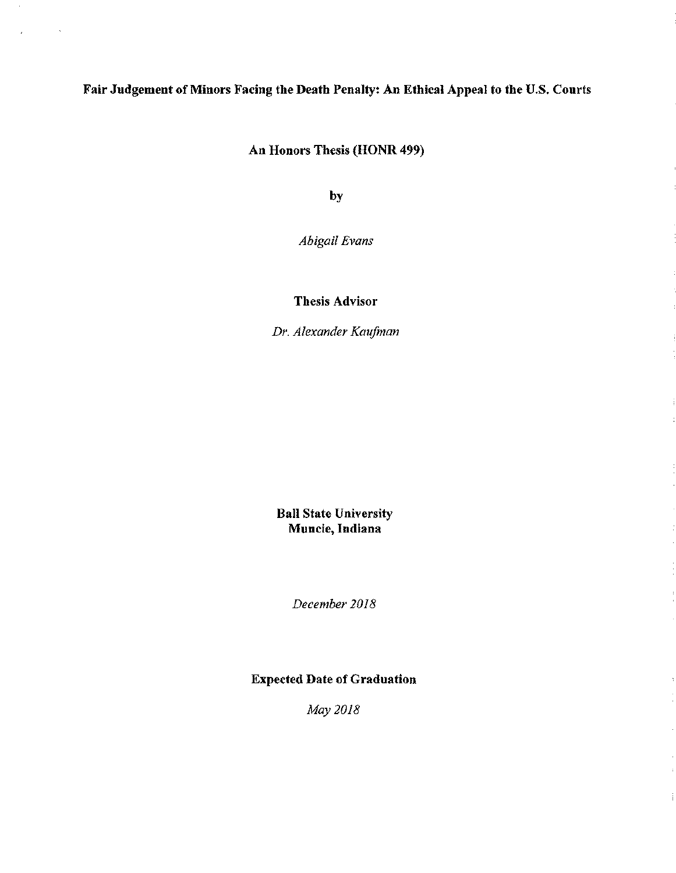# Fair Judgement of Minors Facing the Death Penalty: An Ethical Appeal to the U.S. Courts

 $\ddot{\phantom{a}}$ 

An Honors Thesis (HONR 499)

by

*Abigail Evans* 

Thesis Advisor

*Dr. Alexander Kaufman* 

Ball State University Muncie, Indiana

*December 2018* 

# Expected Date of Graduation

*May 2018*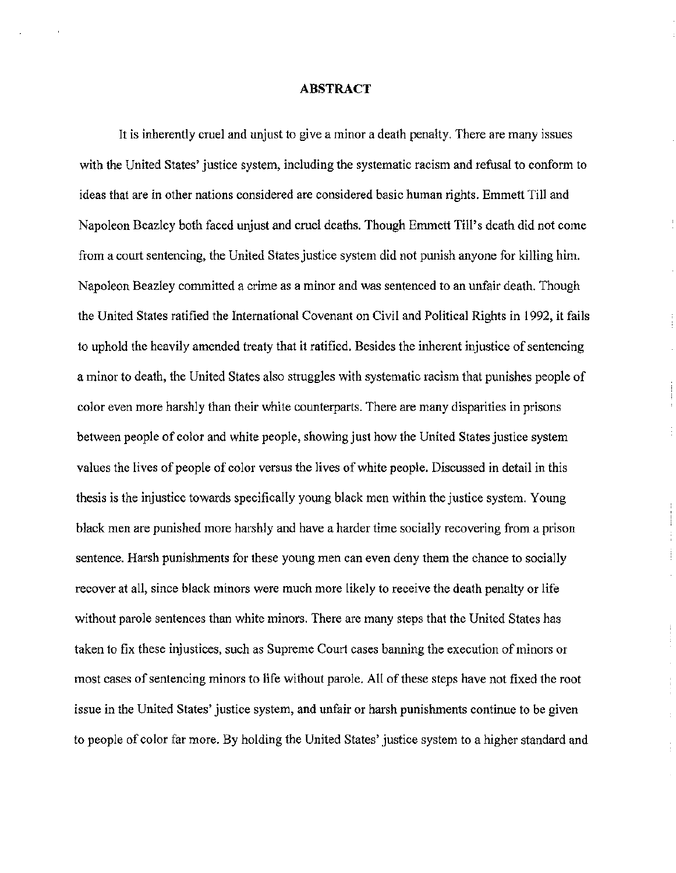### ABSTRACT

It is inherently cruel and unjust to give a minor a death penalty. There are many issues with the United States' justice system, including the systematic racism and refusal to conform to ideas that are in other nations considered are considered basic human rights. Emmett Till and Napoleon Beazley both faced unjust and cruel deaths. Though Emmett Till's death did not come from a court sentencing, the United States justice system did not punish anyone for killing him. Napoleon Beazley committed a crime as a minor and was sentenced to an unfair death. Though the United States ratified the International Covenant on Civil and Political Rights in 1992, it fails to uphold the heavily amended treaty that it ratified. Besides the inherent injustice of sentencing a minor to death, the United States also struggles with systematic racism that punishes people of color even more harshly than their white counterparts. There are many disparities in prisons between people of color and white people, showing just how the United States justice system values the lives of people of color versus the lives of white people. Discussed in detail in this thesis is the injustice towards specifically young black men within the justice system. Young black men are punished more harshly and have a harder time socially recovering from a prison sentence. Harsh punishments for these young men can even deny them the chance to socially recover at all, since black minors were much more likely to receive the death penalty or life without parole sentences than white minors. There are many steps that the United States has taken to fix these injustices, such as Supreme Court cases banning the execution of minors or most cases of sentencing minors to life without parole. All of these steps have not fixed the root issue in the United States' justice system, and unfair or harsh punishments continue to be given to people of color far more. By holding the United States' justice system to a higher standard and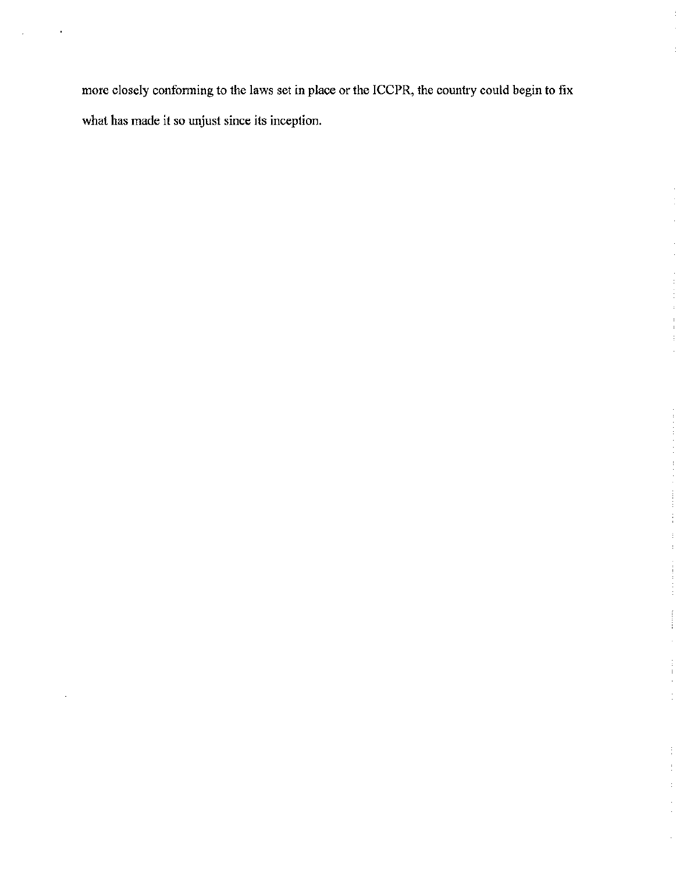more closely conforming to the laws set in place or the ICCPR, the country could begin to fix what has made it so unjust since its inception.

 $\mathbf{I}$ 

Ĵ  $\frac{1}{2}$  $\cdot$ 

l,

Ġ,

 $\ddot{\phantom{0}}$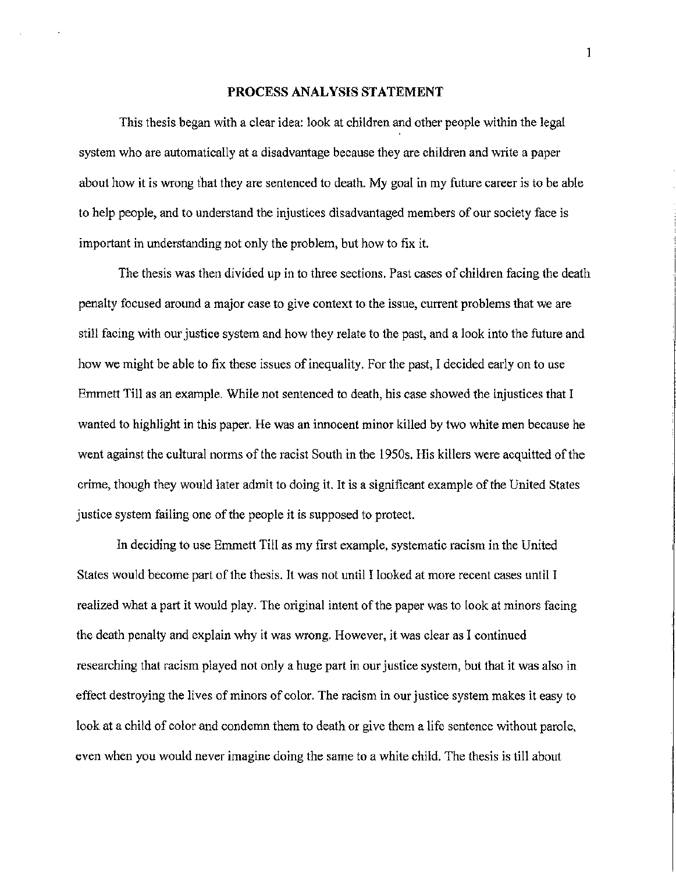#### PROCESS ANALYSIS STATEMENT

This thesis began with a clear idea: look at children and other people within the legal system who are automatically at a disadvantage because they are children and write a paper about how it is wrong that they are sentenced to death. My goal in my future career is to be able to help people, and to understand the injustices disadvantaged members of our society face is important in understanding not only the problem, but how to fix it.

The thesis was then divided up in to three sections. Past cases of children facing the death penalty focused around a major case to give context to the issue, current problems that we are still facing with our justice system and how they relate to the past, and a look into the future and how we might be able to fix these issues of inequality. For the past, I decided early on to use Emmett Till as an example. While not sentenced to death, his case showed the injustices that I wanted to highlight in this paper. He was an innocent minor killed by two white men because he went against the cultural norms of the racist South in the 1950s. His killers were acquitted of the crime, though they would later admit to doing it. It is a significant example of the United States justice system failing one of the people it is supposed to protect.

In deciding to use Emmett Till as my first example, systematic racism in the United States would become part of the thesis. It was not until I looked at more recent cases until I realized what a part it would play. The original intent of the paper was to look at minors facing the death penalty and explain why it was wrong. However, it was clear as I continued researching that racism played not only a huge part in our justice system, but that it was also in effect destroying the lives of minors of color. The racism in our justice system makes it easy to look at a child of color and condemn them to death or give them a life sentence without parole, even when you would never imagine doing the same to a white child. The thesis is till about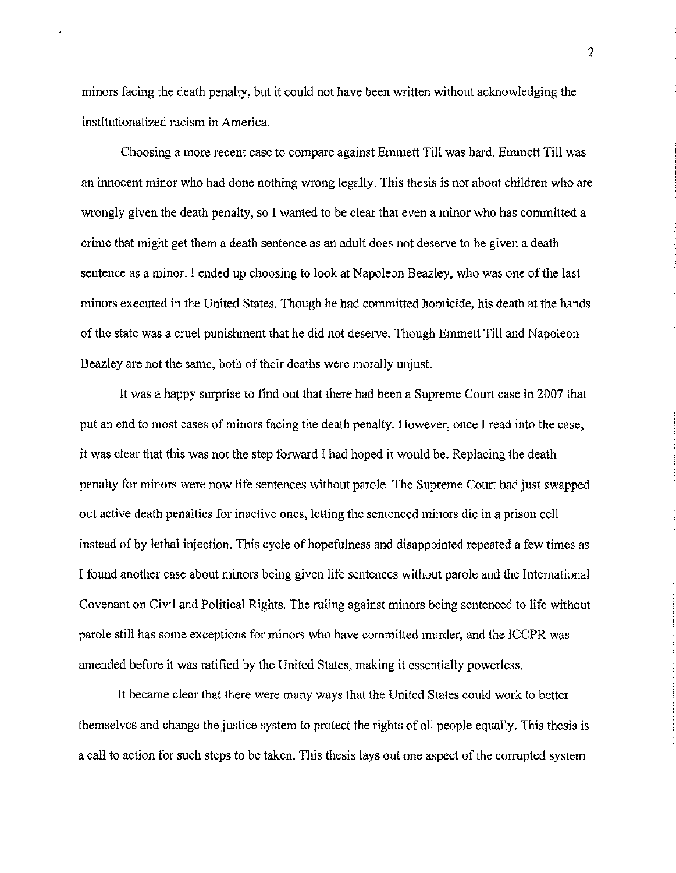minors facing the death penalty, but it could not have been written without acknowledging the institutionalized racism in America.

Choosing a more recent case to compare against Emmett Till was hard. Emmett Till was an innocent minor who had done nothing wrong legally. This thesis is not about children who are wrongly given the death penalty, so I wanted to be clear that even a minor who has committed a crime that might get them a death sentence as an adult does not deserve to be given a death sentence as a minor. I ended up choosing to look at Napoleon Beazley, who was one of the last minors executed in the United States. Though he had committed homicide, his death at the hands of the state was a cruel punishment that he did not deserve. Though Emmett Till and Napoleon Beazley are not the same, both of their deaths were morally unjust.

It was a happy surprise to find out that there had been a Supreme Court case in 2007 that put an end to most cases of minors facing the death penalty. However, once I read into the case, it was clear that this was not the step forward I had hoped it would be. Replacing the death penalty for minors were now life sentences without parole. The Supreme Court had just swapped out active death penalties for inactive ones, letting the sentenced minors die in a prison cell instead of by lethal injection. This cycle of hopefulness and disappointed repeated a few times as I found another case about minors being given life sentences without parole and the International Covenant on Civil and Political Rights. The ruling against minors being sentenced to life without parole still has some exceptions for minors who have committed murder, and the ICCPR was amended before it was ratified by the United States, making it essentially powerless.

It became clear that there were many ways that the United States could work to better themselves and change the justice system to protect the rights of all people equally. This thesis is a call to action for such steps to be taken. This thesis lays out one aspect of the corrupted system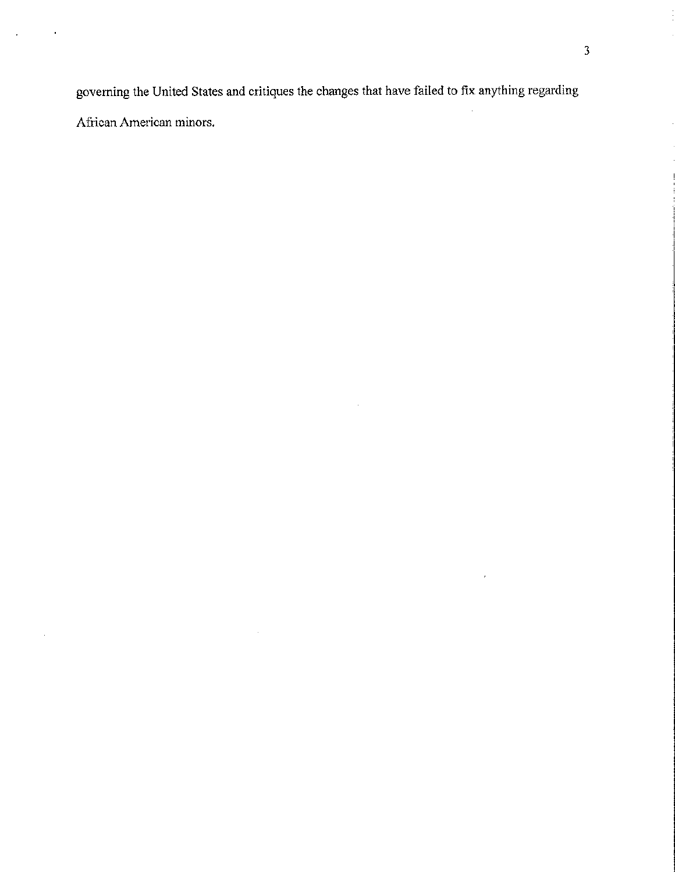governing the United States and critiques the changes that have failed to fix anything regarding African American minors.

J,

 $\hat{\mathcal{A}}$ 

 $\overline{\phantom{a}}$ 

 $\bar{\epsilon}$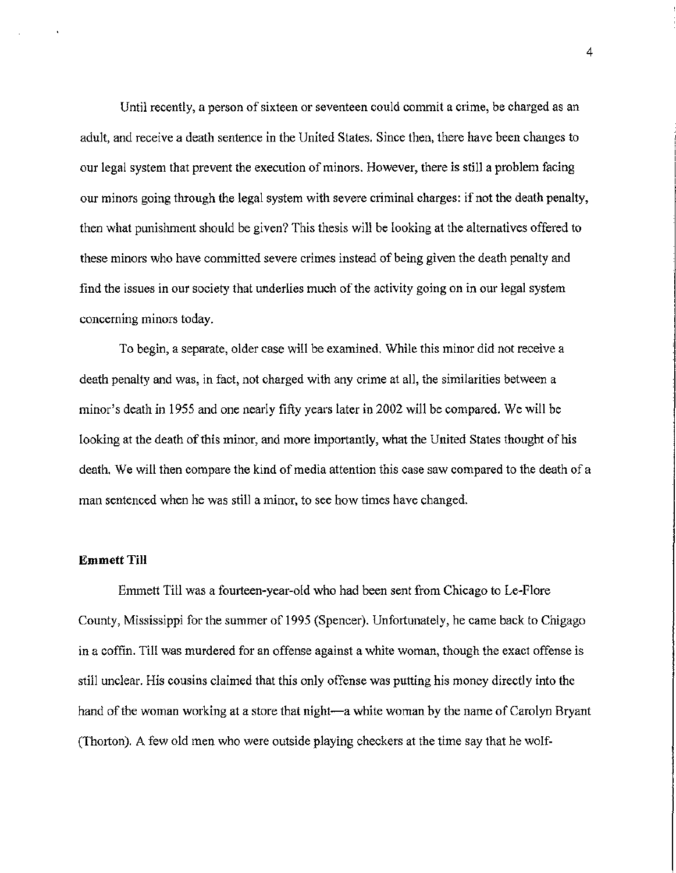Until recently, a person of sixteen or seventeen could commit a crime, be charged as an adult, and receive a death sentence in the United States. Since then, there have been changes to our legal system that prevent the execution of minors. However, there is still a problem facing our minors going through the legal system with severe criminal charges: if not the death penalty, then what punishment should be given? This thesis will be looking at the alternatives offered to these minors who have committed severe crimes instead of being given the death penalty and find the issues in our society that underlies much of the activity going on in our legal system concerning minors today.

To begin, a separate, older case will be examined. While this minor did not receive a death penalty and was, in fact, not charged with any crime at all, the similarities between a minor's death in 1955 and one nearly fifty years later in 2002 will be compared. We will be looking at the death of this minor, and more importantly, what the United States thought of his death. We will then compare the kind of media attention this case saw compared to the death of a man sentenced when he was still a minor, to see how times have changed.

### **Emmett Till**

Emmett Till was a fourteen-year-old who had been sent from Chicago to Le-Flore County, Mississippi for the summer of 1995 (Spencer). Unfortunately, he came back to Chigago in a coffin. Till was murdered for an offense against a white woman, though the exact offense is still unclear. His cousins claimed that this only offense was putting his money directly into the hand of the woman working at a store that night—a white woman by the name of Carolyn Bryant (Thorton). A few old men who were outside playing checkers at the time say that he wolf-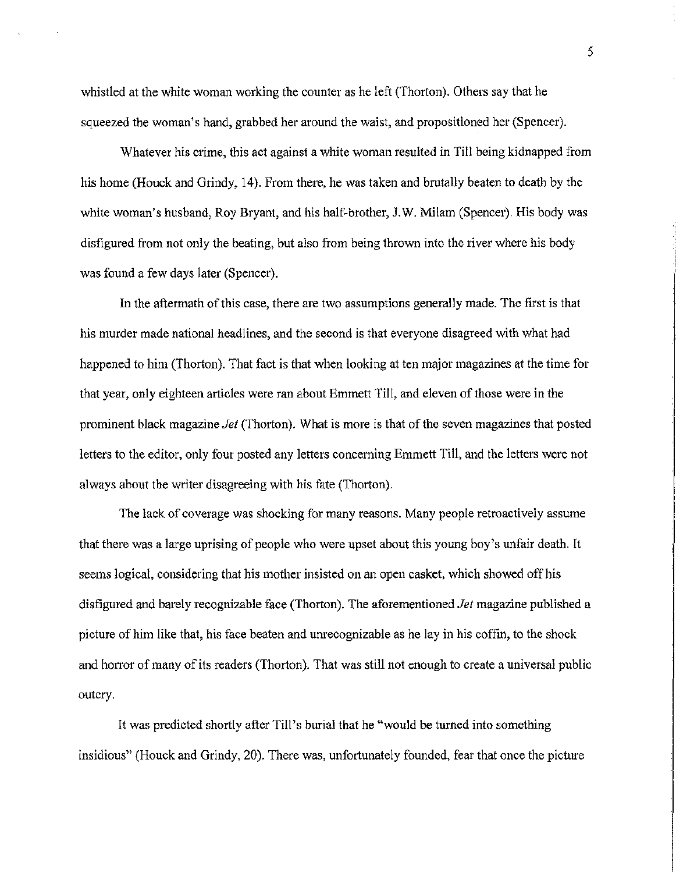whistled at the white woman working the counter as he left (Thorton). Others say that he squeezed the woman's hand, grabbed her around the waist, and propositioned her (Spencer).

Whatever his crime, this act against a white woman resulted in Till being kidnapped from his home (Houck and Grindy, 14). From there, he was taken and brutally beaten to death by the white woman's husband, Roy Bryant, and his half-brother, J.W. Milam (Spencer). His body was disfigured from not only the beating, but also from being thrown into the river where his body was found a few days later (Spencer).

In the aftermath of this case, there are two assumptions generally made. The first is that his murder made national headlines, and the second is that everyone disagreed with what had happened to him (Thorton). That fact is that when looking at ten major magazines at the time for that year, only eighteen articles were ran about Emmett Till, and eleven of those were in the prominent black magazine *Jet* (Thorton). What is more is that of the seven magazines that posted letters to the editor, only four posted any letters concerning Emmett Till, and the letters were not always about the writer disagreeing with his fate (Thorton).

The lack of coverage was shocking for many reasons. Many people retroactively assume that there was a large uprising of people who were upset about this young boy's unfair death. It seems logical, considering that his mother insisted on an open casket, which showed off his disfigured and barely recognizable face (Thorton). The aforementioned *Jet* magazine published a picture of him like that, his face beaten and unrecognizable as he lay in his coffin, to the shock and horror of many of its readers (Thorton). That was still not enough to create a universal public outcry.

It was predicted shortly after Till's burial that he "would be turned into something insidious" (Houck and Grindy, 20). There was, unfortunately founded, fear that once the picture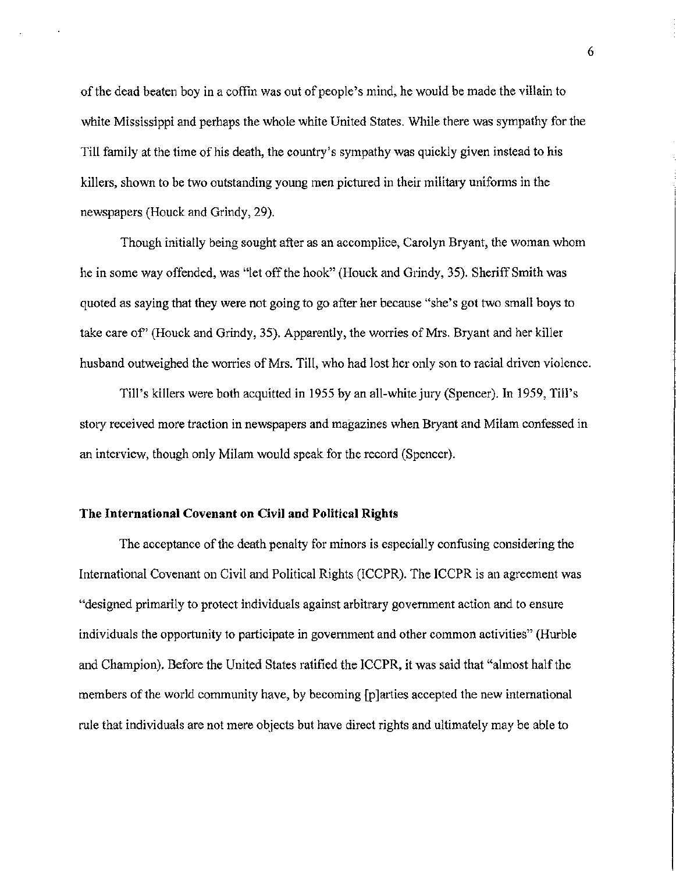of the dead beaten boy in a coffin was out of people's mind, he would be made the villain to white Mississippi and perhaps the whole white United States. While there was sympathy for the Till family at the time of his death, the country's sympathy was quickly given instead to his killers, shown to be two outstanding young men pictured in their military uniforms in the newspapers (Houck and Grindy, 29).

Though initially being sought after as an accomplice, Carolyn Bryant, the woman whom he in some way offended, was "let off the hook" (Houck and Grindy, 35). Sheriff Smith was quoted as saying that they were not going to go after her because "she's got two small boys to take care of" (Houck and Grindy, 35). Apparently, the worries of Mrs. Bryant and her killer husband outweighed the worries of Mrs. Till, who had lost her only son to racial driven violence.

Till's killers were both acquitted in 1955 by an all-white jury (Spencer). In 1959, Till's story received more traction in newspapers and magazines when Bryant and Milam confessed in an interview, though only Milam would speak for the record (Spencer).

#### The International Covenant on Civil and Political Rights

The acceptance of the death penalty for minors is especially confusing considering the International Covenant on Civil and Political Rights (ICCPR). The ICCPR is an agreement was "designed primarily to protect individuals against arbitrary government action and to ensure individuals the opportunity to participate in government and other common activities" (Hurble and Champion). Before the United States ratified the ICCPR, it was said that "almost half the members of the world community have, by becoming [p]arties accepted the new international rule that individuals are not mere objects but have direct rights and ultimately may be able to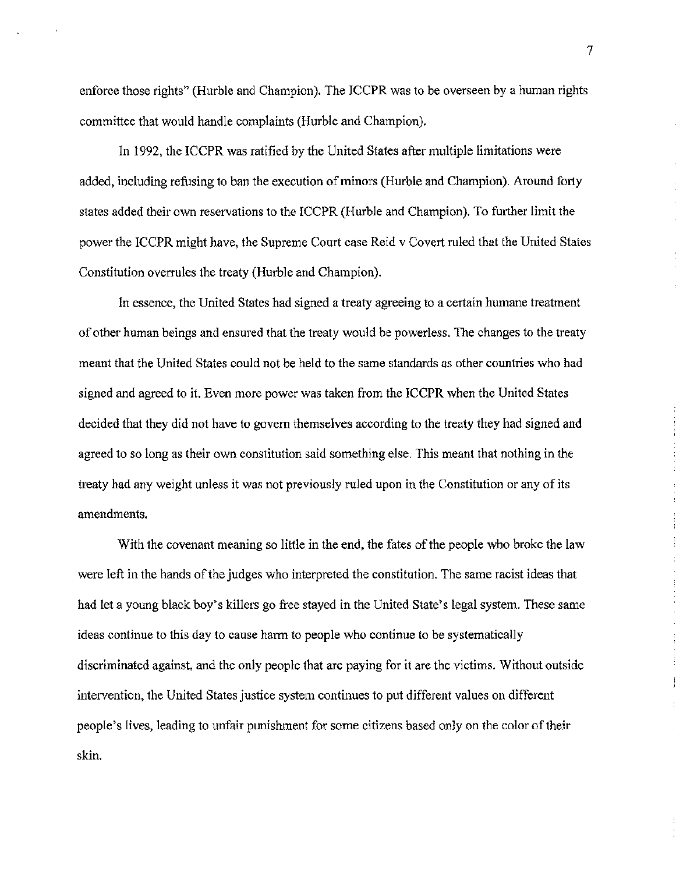enforce those rights" (Hurble and Champion). The ICCPR was to be overseen by a human rights committee that would handle complaints (Hurble and Champion).

In 1992, the ICCPR was ratified by the United States after multiple limitations were added, including refusing to ban the execution of minors (Hurble and Champion). Around forty states added their own reservations to the ICCPR (Hurble and Champion). To further limit the power the ICCPR might have, the Supreme Court case Reid v Covert ruled that the United States Constitution overrules the treaty (Hurble and Champion).

In essence, the United States had signed a treaty agreeing to a certain humane treatment of other human beings and ensured that the treaty would be powerless. The changes to the treaty meant that the United States could not be held to the same standards as other countries who had signed and agreed to it. Even more power was taken from the ICCPR when the United States decided that they did not have to govern themselves according to the treaty they had signed and agreed to so long as their own constitution said something else. This meant that nothing in the treaty had any weight unless it was not previously ruled upon in the Constitution or any of its amendments.

With the covenant meaning so little in the end, the fates of the people who broke the law were left in the hands of the judges who interpreted the constitution. The same racist ideas that had let a young black boy's killers go free stayed in the United State's legal system. These same ideas continue to this day to cause harm to people who continue to be systematically discriminated against, and the only people that are paying for it are the victims. Without outside intervention, the United States justice system continues to put different values on different people's lives, leading to unfair punishment for some citizens based only on the color of their skin.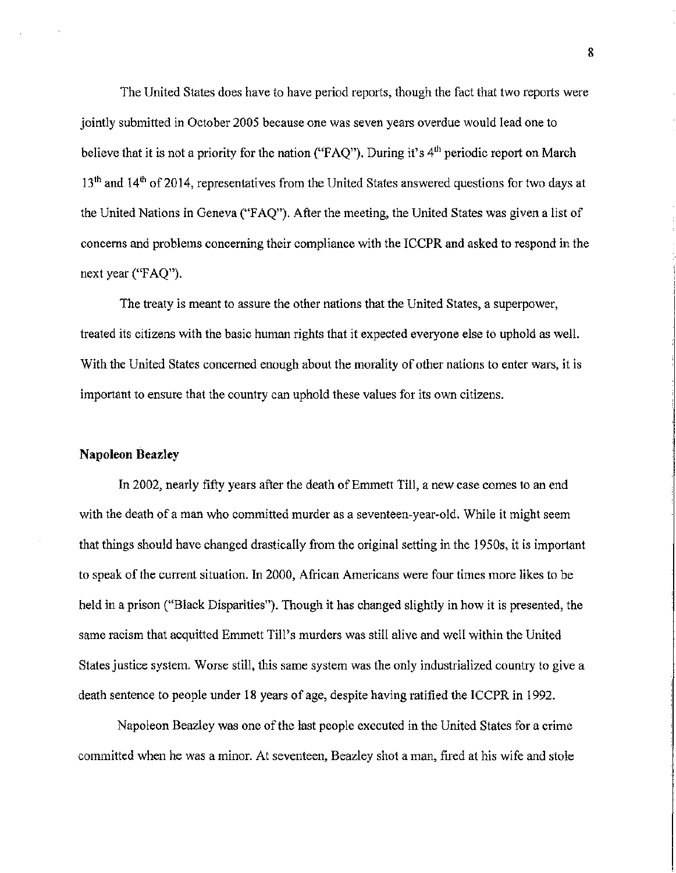The United States does have to have period reports, though the fact that two reports were jointly submitted in October 2005 because one was seven years overdue would lead one to believe that it is not a priority for the nation ("FAQ"). During it's  $4<sup>th</sup>$  periodic report on March 13<sup>th</sup> and 14<sup>th</sup> of 2014, representatives from the United States answered questions for two days at the United Nations in Geneva ("FAQ"). After the meeting, the United States was given a list of concerns and problems concerning their compliance with the ICCPR and asked to respond in the next year ("FAQ").

The treaty is meant to assure the other nations that the United States, a superpower, treated its citizens with the basic human rights that it expected everyone else to uphold as well. With the United States concerned enough about the morality of other nations to enter wars, it is important to ensure that the country can uphold these values for its own citizens.

#### **Napoleon** Beazley

In 2002, nearly fifty years after the death of Emmett Till, a new case comes to an end with the death of a man who committed murder as a seventeen-year-old. While it might seem that things should have changed drastically from the original setting in the 1950s, it is important to speak of the current situation. In 2000, African Americans were four times more likes to be held in a prison ("Black Disparities"). Though it has changed slightly in how it is presented, the same racism that acquitted Emmett Till's murders was still alive and well within the United States justice system. Worse still, this same system was the only industrialized country to give a death sentence to people under 18 years of age, despite having ratified the ICCPR in 1992.

Napoleon Beazley was one of the last people executed in the United States for a crime committed when he was a minor. At seventeen, Beazley shot a man, fired at his wife and stole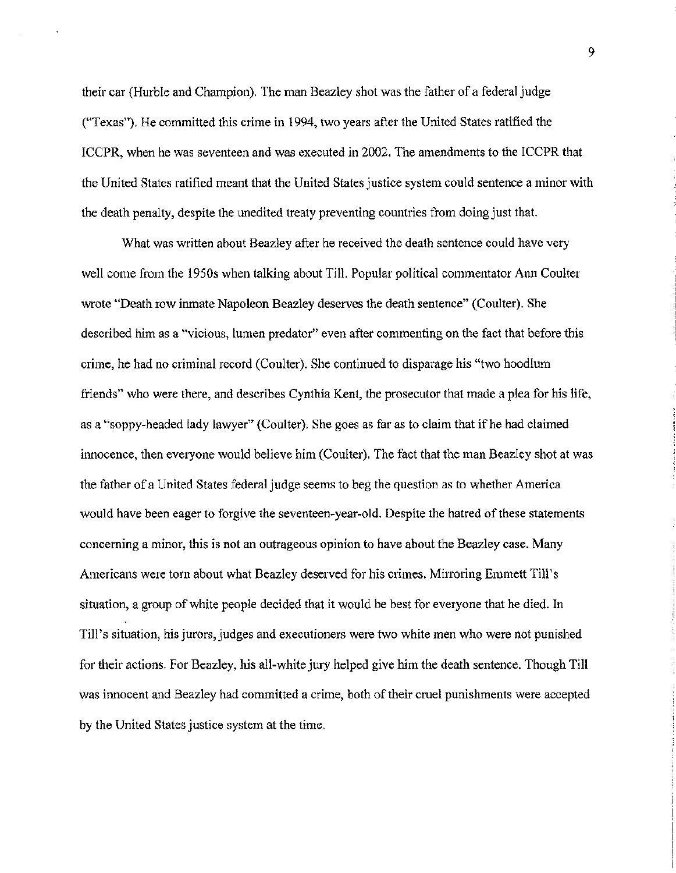their car (Hurble and Champion). The man Beazley shot was the father of a federal judge ("Texas"). He committed this crime in 1994, two years after the United States ratified the ICCPR, when he was seventeen and was executed in 2002. The amendments to the ICCPR that the United States ratified meant that the United States justice system could sentence a minor with the death penalty, despite the unedited treaty preventing countries from doing just that.

What was written about Beazley after he received the death sentence could have very well come from the 1950s when talking about Till. Popular political commentator Ann Coulter wrote "Death row inmate Napoleon Beazley deserves the death sentence" (Coulter). She described him as a "vicious, lumen predator" even after commenting on the fact that before this crime, he had no criminal record (Coulter). She continued to disparage his "two hoodlum friends" who were there, and describes Cynthia Kent, the prosecutor that made a plea for his life, as a "soppy-headed lady lawyer" (Coulter). She goes as far as to claim that if he had claimed innocence, then everyone would believe him (Coulter). The fact that the man Beazley shot at was the father of a United States federal judge seems to beg the question as to whether America would have been eager to forgive the seventeen-year-old. Despite the hatred of these statements concerning a minor, this is not an outrageous opinion to have about the Beazley case. Many Americans were tom about what Beazley deserved for his crimes. Mirroring Emmett Till's situation, a group of white people decided that it would be best for everyone that he died. In Till's situation, his jurors, judges and executioners were two white men who were not punished for their actions. For Beazley, his all-white jury helped give him the death sentence. Though Till was innocent and Beazley had committed a crime, both of their cruel punishments were accepted by the United States justice system at the time.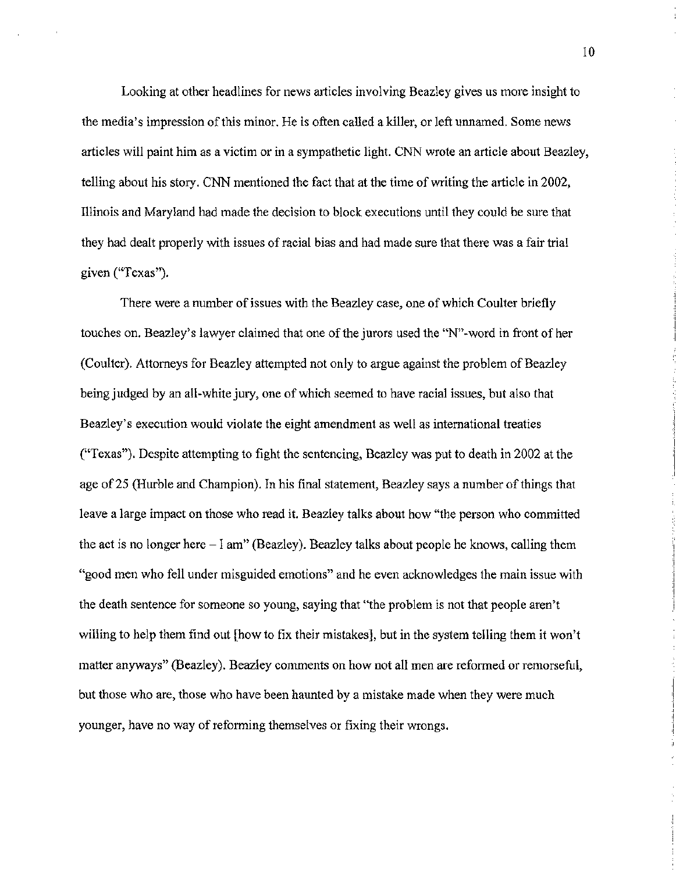Looking at other headlines for news articles involving Beazley gives us more insight to the media's impression of this minor. He is often called a killer, or left unnamed. Some news articles will paint him as a victim or in a sympathetic light. CNN wrote an article about Beazley, telling about his story. CNN mentioned the fact that at the time of writing the article in 2002, Illinois and Maryland had made the decision to block executions until they could be sure that they had dealt properly with issues of racial bias and had made sure that there was a fair trial given ("Texas").

There were a number of issues with the Beazley case, one of which Coulter briefly touches on. Beazley's lawyer claimed that one of the jurors used the "N"-word in front of her (Coulter). Attorneys for Beazley attempted not only to argue against the problem of Beazley being judged by an all-white jury, one of which seemed to have racial issues, but also that Beazley's execution would violate the eight amendment as well as international treaties ("Texas"). Despite attempting to fight the sentencing, Beazley was put to death in 2002 at the age of 25 (Hurble and Champion). In his final statement, Beazley says a number of things that leave a large impact on those who read it. Beazley talks about how "the person who committed the act is no longer here- I am" (Beazley). Beazley talks about people he knows, calling them "good men who fell under misguided emotions" and he even acknowledges the main issue with the death sentence for someone so young, saying that "the problem is not that people aren't willing to help them find out [how to fix their mistakes], but in the system telling them it won't matter anyways" (Beazley). Beazley comments on how not all men are reformed or remorseful, but those who are, those who have been haunted by a mistake made when they were much younger, have no way of reforming themselves or fixing their wrongs.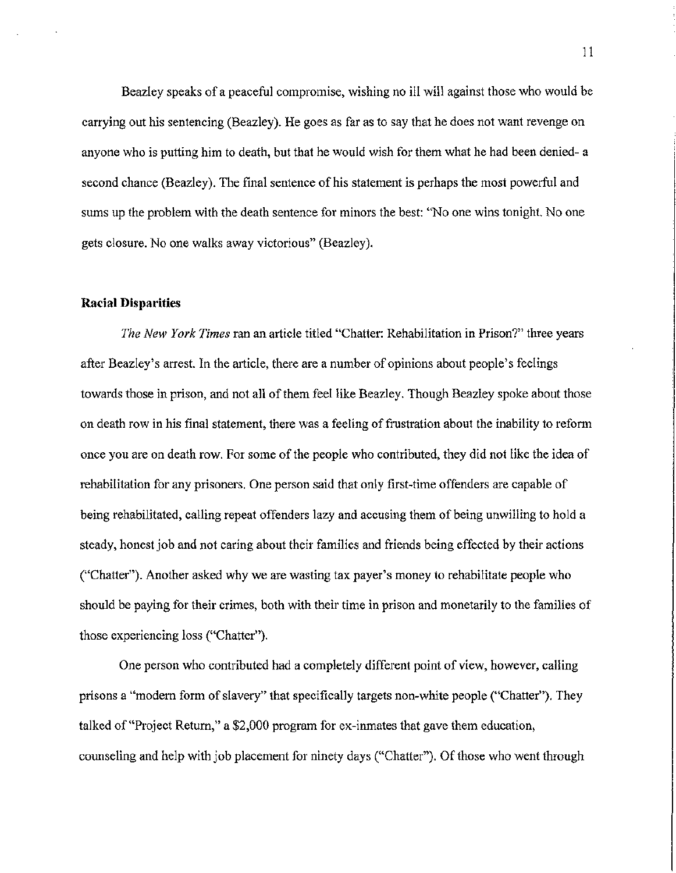Beazley speaks of a peaceful compromise, wishing no ill will against those who would be carrying out his sentencing (Beazley). He goes as far as to say that he does not want revenge on anyone who is putting him to death, but that he would wish for them what he had been denied- a second chance (Beazley). The final sentence of his statement is perhaps the most powerful and sums up the problem with the death sentence for minors the best: "No one wins tonight. No one gets closure. No one walks away victorious" (Beazley).

#### Racial Disparities

*The New York Times* ran an article titled "Chatter: Rehabilitation in Prison?" three years after Beazley's arrest. In the article, there are a number of opinions about people's feelings towards those in prison, and not all of them feel like Beazley. Though Beazley spoke about those on death row in his final statement, there was a feeling of frustration about the inability to reform once you are on death row. For some of the people who contributed, they did not like the idea of rehabilitation for any prisoners. One person said that only first-time offenders are capable of being rehabilitated, calling repeat offenders lazy and accusing them of being unwilling to hold a steady, honest job and not caring about their families and friends being effected by their actions ("Chatter"). Another asked why we are wasting tax payer's money to rehabilitate people who should be paying for their crimes, both with their time in prison and monetarily to the families of those experiencing loss ("Chatter").

One person who contributed had a completely different point of view, however, calling prisons a "modem form of slavery" that specifically targets non-white people ("Chatter"). They talked of"Project Return," a \$2,000 program for ex-inmates that gave them education, counseling and help with job placement for ninety days ("Chatter"). Of those who went through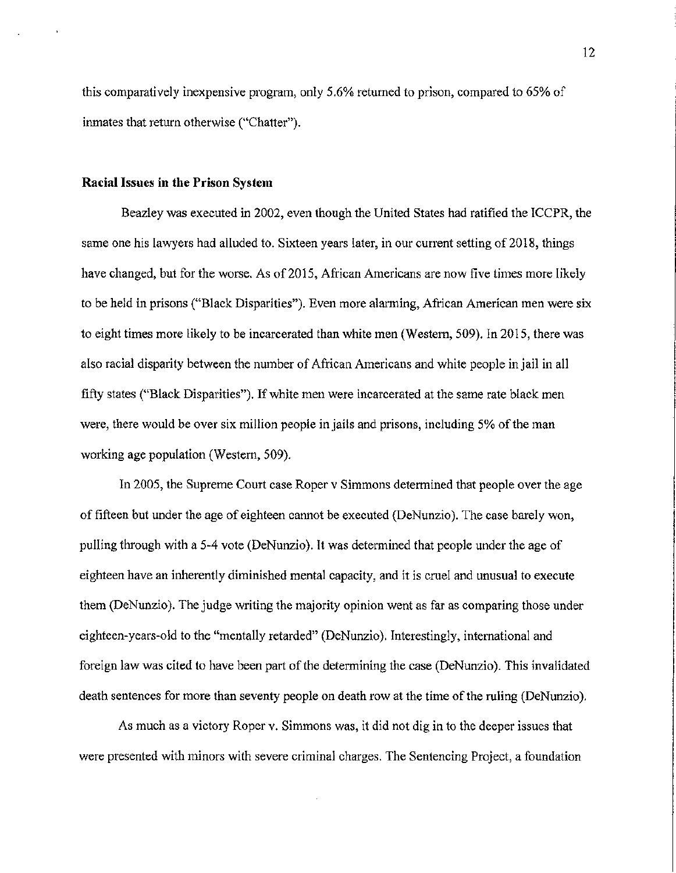this comparatively inexpensive program, only 5.6% returned to prison, compared to 65% of inmates that return otherwise ("Chatter").

### Racial Issues in the Prison System

Beazley was executed in 2002, even though the United States had ratified the ICCPR, the same one his lawyers had alluded to. Sixteen years later, in our current setting of 2018, things have changed, but for the worse. As of 2015, African Americans are now five times more likely to be held in prisons ("Black Disparities"). Even more alarming, African American men were six to eight times more likely to be incarcerated than white men (Western, 509). In 2015, there was also racial disparity between the number of African Americans and white people in jail in all fifty states ("Black Disparities"). If white men were incarcerated at the same rate black men were, there would be over six million people in jails and prisons, including 5% of the man working age population (Western, 509).

In 2005, the Supreme Court case Roper v Simmons determined that people over the age of fifteen but under the age of eighteen cannot be executed (DeNunzio). The case barely won, pulling through with a 5-4 vote (DeNunzio). It was determined that people under the age of eighteen have an inherently diminished mental capacity, and it is cruel and unusual to execute them (DeNunzio). The judge writing the majority opinion went as far as comparing those under eighteen-years-old to the "mentally retarded" (DeNunzio). Interestingly, international and foreign law was cited to have been part of the determining the case (DeNunzio). This invalidated death sentences for more than seventy people on death row at the time of the ruling (DeNunzio).

As much as a victory Roper v. Simmons was, it did not dig in to the deeper issues that were presented with minors with severe criminal charges. The Sentencing Project, a foundation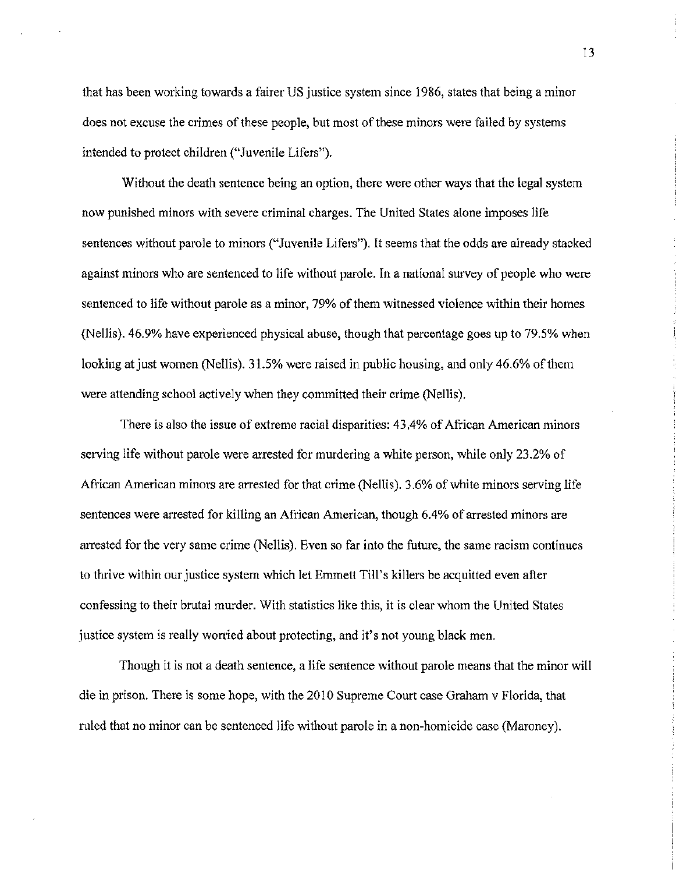that has been working towards a fairer US justice system since 1986, states that being a minor does not excuse the crimes of these people, but most of these minors were failed by systems intended to protect children ("Juvenile Lifers").

Without the death sentence being an option, there were other ways that the legal system now punished minors with severe criminal charges. The United States alone imposes life sentences without parole to minors ("Juvenile Lifers"). It seems that the odds are already stacked against minors who are sentenced to life without parole. In a national survey of people who were sentenced to life without parole as a minor, 79% of them witnessed violence within their homes (Nellis). 46.9% have experienced physical abuse, though that percentage goes up to 79.5% when looking at just women (Nellis). 31.5% were raised in public housing, and only 46.6% of them were attending school actively when they committed their crime (Nellis).

There is also the issue of extreme racial disparities: 43.4% of African American minors serving life without parole were arrested for murdering a white person, while only 23.2% of African American minors are anested for that crime (Nellis). 3.6% of white minors serving life sentences were arrested for killing an African American, though 6.4% of arrested minors are arrested for the very same crime (Nellis). Even so far into the future, the same racism continues to thrive within our justice system which let Emmett Till's killers be acquitted even after confessing to their brutal murder. With statistics like this, it is clear whom the United States justice system is really worried about protecting, and it's not young black men.

Though it is not a death sentence, a life sentence without parole means that the minor will die in prison. There is some hope, with the 2010 Supreme Court case Graham v Florida, that ruled that no minor can be sentenced life without parole in a non-homicide case (Maroney).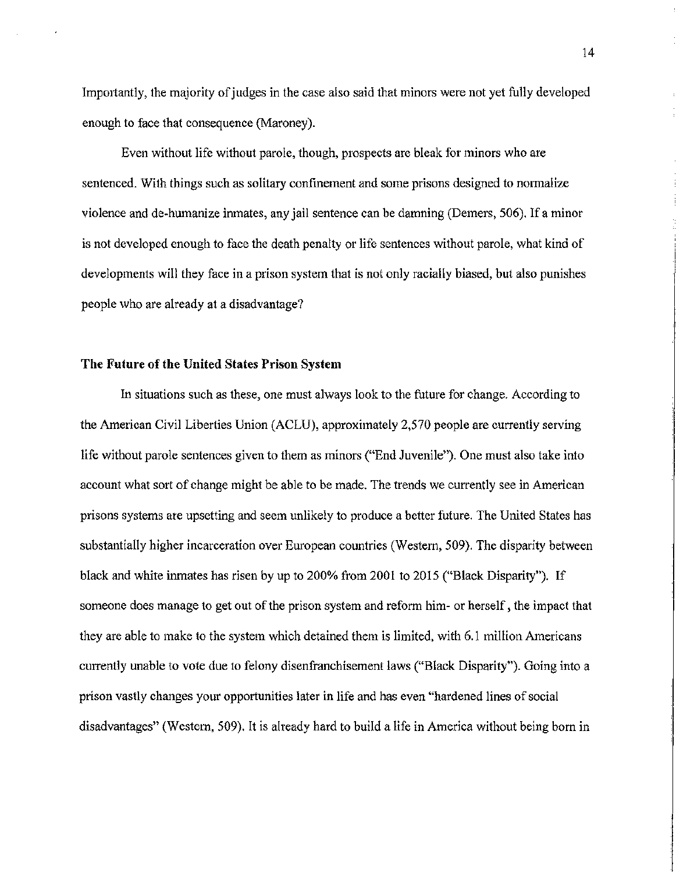Importantly, the majority of judges in the case also said that minors were not yet fully developed enough to face that consequence (Maroney).

Even without life without parole, though, prospects are bleak for minors who are sentenced. With things such as solitary confinement and some prisons designed to normalize violence and de-humanize inmates, any jail sentence can be damning (Demers, 506). If a minor is not developed enough to face the death penalty or life sentences without parole, what kind of developments will they face in a prison system that is not only racially biased, but also punishes people who are already at a disadvantage?

## The Future of the United States Prison System

In situations such as these, one must always look to the future for change. According to the American Civil Liberties Union (ACLU), approximately 2,570 people are currently serving life without parole sentences given to them as minors ("End Juvenile"). One must also take into account what sort of change might be able to be made. The trends we currently see in American prisons systems are upsetting and seem unlikely to produce a better future. The United States has substantially higher incarceration over European countries (Western, 509). The disparity between black and white inmates has risen by up to 200% from 2001 to 2015 ("Black Disparity"). If someone does manage to get out of the prison system and reform him- or herself, the impact that they are able to make to the system which detained them is limited, with 6.1 million Americans currently unable to vote due to felony disenfranchisement laws ("Black Disparity"). Going into a prison vastly changes your opportunities later in life and has even "hardened lines of social disadvantages" (Western, 509). It is already hard to build a life in America without being born in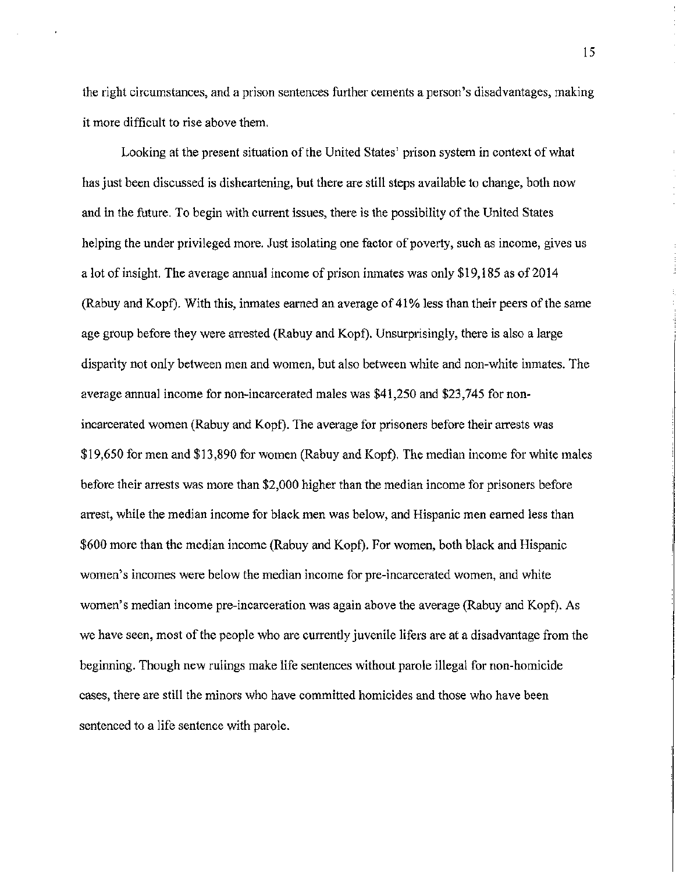the right circumstances, and a prison sentences further cements a person's disadvantages, making it more difficult to rise above them.

Looking at the present situation of the United States' prison system in context of what has just been discussed is disheartening, but there are still steps available to change, both now and in the future. To begin with current issues, there is the possibility of the United States helping the under privileged more. Just isolating one factor of poverty, such as income, gives us a lot of insight. The average annual income of prison inmates was only \$19,185 as of 2014 (Rabuy and Kopf). With this, inmates earned an average of 41% less than their peers of the same age group before they were arrested (Rabuy and Kopf). Unsurprisingly, there is also a large disparity not only between men and women, but also between white and non-white inmates. The average annual income for non-incarcerated males was \$41,250 and \$23,745 for nonincarcerated women (Rabuy and Kopf). The average for prisoners before their arrests was \$19,650 for men and \$13,890 for women (Rabuy and Kopf). The median income for white males before their arrests was more than \$2,000 higher than the median income for prisoners before arrest, while the median income for black men was below, and Hispanic men earned less than \$600 more than the median income (Rabuy and Kopf). For women, both black and Hispanic women's incomes were below the median income for pre-incarcerated women, and white women's median income pre-incarceration was again above the average (Rabuy and Kopf). As we have seen, most of the people who are currently juvenile lifers are at a disadvantage from the beginning. Though new rulings make life sentences without parole illegal for non-homicide cases, there are still the minors who have committed homicides and those who have been sentenced to a life sentence with parole.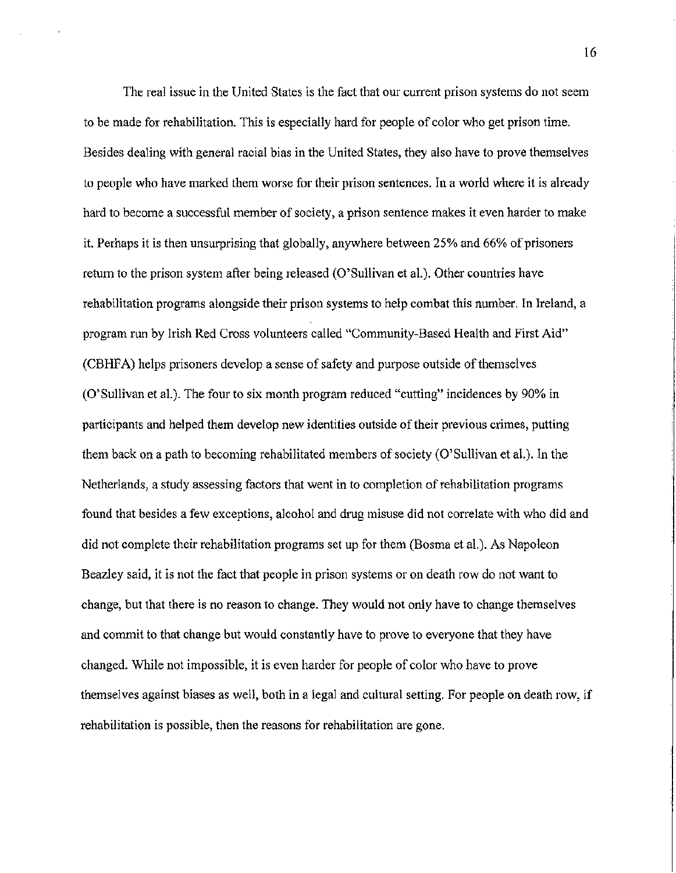The real issue in the United States is the fact that our current prison systems do not seem to be made for rehabilitation. This is especially hard for people of color who get prison time. Besides dealing with general racial bias in the United States, they also have to prove themselves to people who have marked them worse for their prison sentences. In a world where it is already hard to become a successful member of society, a prison sentence makes it even harder to make it. Perhaps it is then unsurprising that globally, anywhere between 25% and 66% of prisoners return to the prison system after being released (O'Sullivan et al.). Other countries have rehabilitation programs alongside their prison systems to help combat this number. In Ireland, a program run by Irish Red Cross volunteers called "Community-Based Health and First Aid" (CBHF A) helps prisoners develop a sense of safety and purpose outside of themselves (O'Sullivan et al.). The four to six month program reduced "cutting" incidences by 90% in participants and helped them develop new identities outside of their previous crimes, putting them back on a path to becoming rehabilitated members of society (O'Sullivan et al.). In the Netherlands, a study assessing factors that went in to completion of rehabilitation programs found that besides a few exceptions, alcohol and drug misuse did not correlate with who did and did not complete their rehabilitation programs set up for them (Bosma et al.). As Napoleon Beazley said, it is not the fact that people in prison systems or on death row do not want to change, but that there is no reason to change. They would not only have to change themselves and commit to that change but would constantly have to prove to everyone that they have changed. While not impossible, it is even harder for people of color who have to prove themselves against biases as well, both in a legal and cultural setting. For people on death row, if rehabilitation is possible, then the reasons for rehabilitation are gone.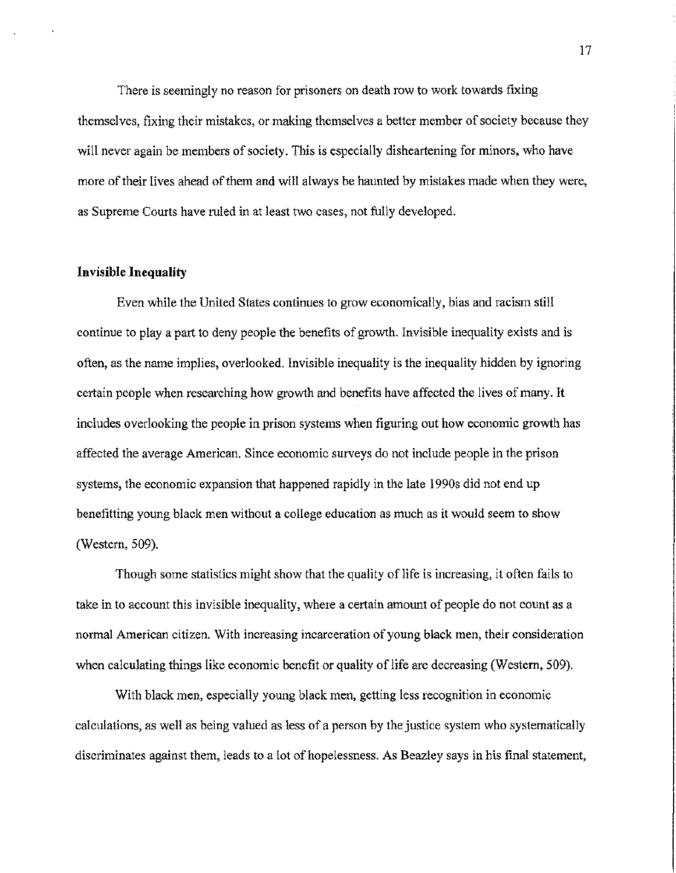There is seemingly no reason for prisoners on death row to work towards fixing themselves, fixing their mistakes, or making themselves a better member of society because they will never again be members of society. This is especially disheartening for minors, who have more of their lives ahead of them and will always be haunted by mistakes made when they were, as Supreme Courts have mled in at least two cases, not fully developed.

### Invisible Inequality

Even while the United States continues to grow economically, bias and racism still continue to play a part to deny people the benefits of growth. Invisible inequality exists and is often, as the name implies, overlooked. Invisible inequality is the inequality hidden by ignoring certain people when researching how growth and benefits have affected the lives of many. It includes overlooking the people in prison systems when figuring out how economic growth has affected the average American. Since economic surveys do not include people in the prison systems, the economic expansion that happened rapidly in the late 1990s did not end up benefitting young black men without a college education as much as it would seem to show (Western, 509).

Though some statistics might show that the quality of life is increasing, it often fails to take in to account this invisible inequality, where a certain amount of people do not count as a normal American citizen. With increasing incarceration of young black men, their consideration when calculating things like economic benefit or quality of life are decreasing (Western, 509).

With black men, especially young black men, getting less recognition in economic calculations, as well as being valued as less of a person by the justice system who systematically discriminates against them, leads to a lot of hopelessness. As Beazley says in his final statement,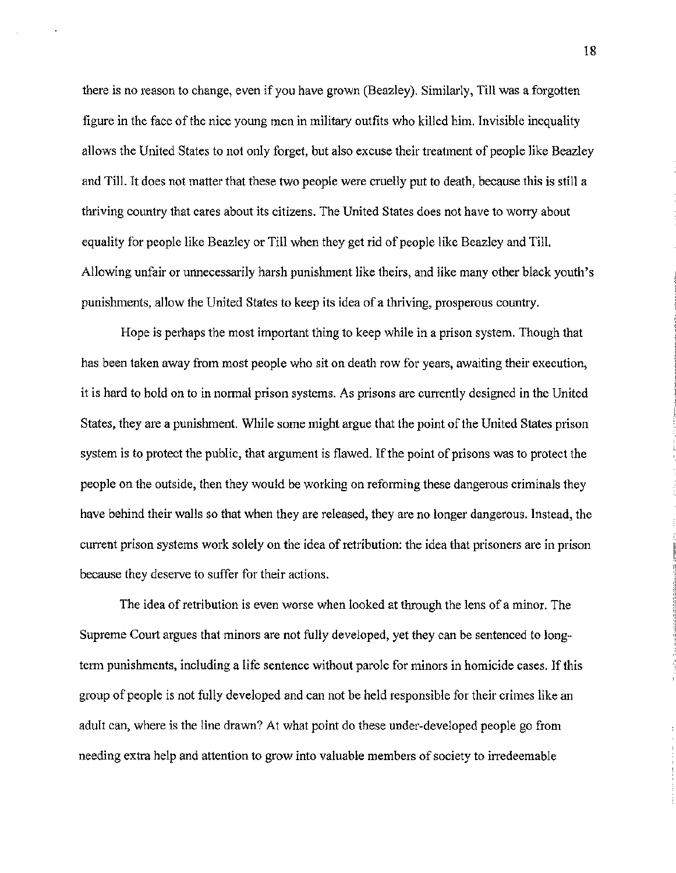there is no reason to change, even if you have grown (Beazley). Similarly, Till was a forgotten figure in the face of the nice young men in military outfits who killed him. Invisible inequality allows the United States to not only forget, but also excuse their treatment of people like Beazley and Till. It does not matter that these two people were cruelly put to death, because this is still a thriving country that cares about its citizens. The United States does not have to worry about equality for people like Beazley or Till when they get rid of people like Beazley and Till. Allowing unfair or unnecessarily harsh punishment like theirs, and like many other black youth's punishments, allow the United States to keep its idea of a thriving, prosperous country.

Hope is perhaps the most important thing to keep while in a prison system. Though that has been taken away from most people who sit on death row for years, awaiting their execution, it is hard to hold on to in normal prison systems. As prisons are currently designed in the United States, they are a punishment. While some might argue that the point of the United States prison system is to protect the public, that argument is flawed. If the point of prisons was to protect the people on the outside, then they would be working on reforming these dangerous criminals they have behind their walls so that when they are released, they are no longer dangerous. Instead, the current prison systems work solely on the idea of retribution: the idea that prisoners are in prison because they deserve to suffer for their actions.

The idea of retribution is even worse when looked at through the lens of a minor. The Supreme Court argues that minors are not fully developed, yet they can be sentenced to longterm punishments, including a life sentence without parole for minors in homicide cases. If this group of people is not fully developed and can not be held responsible for their crimes like an adult can, where is the line drawn? At what point do these under-developed people go from needing extra help and attention to grow into valuable members of society to irredeemable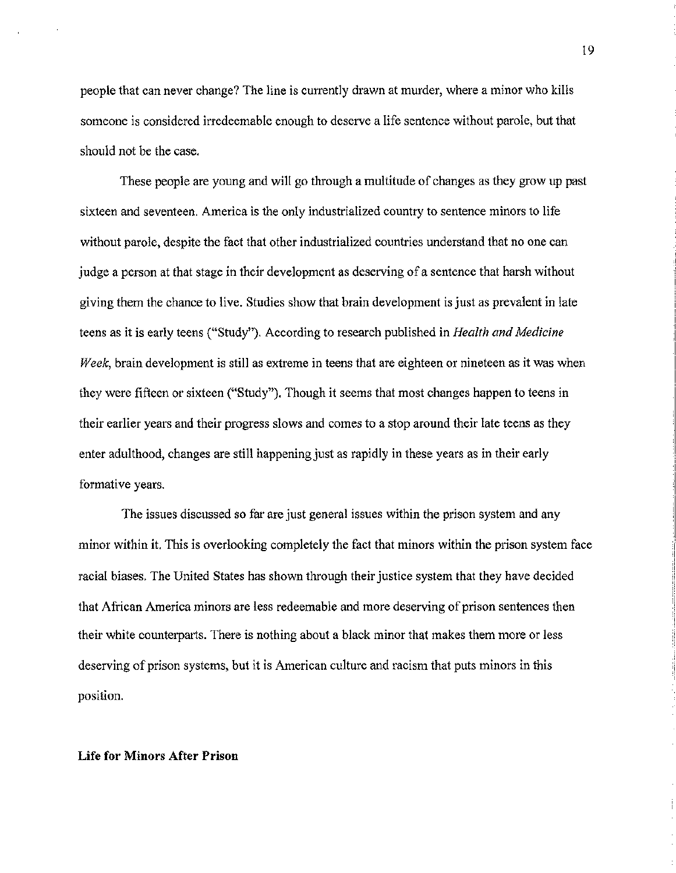people that can never change? The line is currently drawn at murder, where a minor who kills someone is considered irredeemable enough to deserve a life sentence without parole, but that should not be the case.

These people are young and will go through a multitude of changes as they grow up past sixteen and seventeen. America is the only industrialized country to sentence minors to life without parole, despite the fact that other industrialized countries understand that no one can judge a person at that stage in their development as deserving of a sentence that harsh without giving them the chance to live. Studies show that brain development is just as prevalent in late teens as it is early teens ("Study"). According to research published in *Health and Medicine Week,* brain development is still as extreme in teens that are eighteen or nineteen as it was when they were fifteen or sixteen ("Study"). Though it seems that most changes happen to teens in their earlier years and their progress slows and comes to a stop around their late teens as they enter adulthood, changes are still happening just as rapidly in these years as in their early formative years.

The issues discussed so far are just general issues within the prison system and any minor within it. This is overlooking completely the fact that minors within the prison system face racial biases. The United States has shown through their justice system that they have decided that African America minors are less redeemable and more deserving of prison sentences then their white counterparts. There is nothing about a black minor that makes them more or less deserving of prison systems, but it is American culture and racism that puts minors in this position.

#### Life for Minors After Prison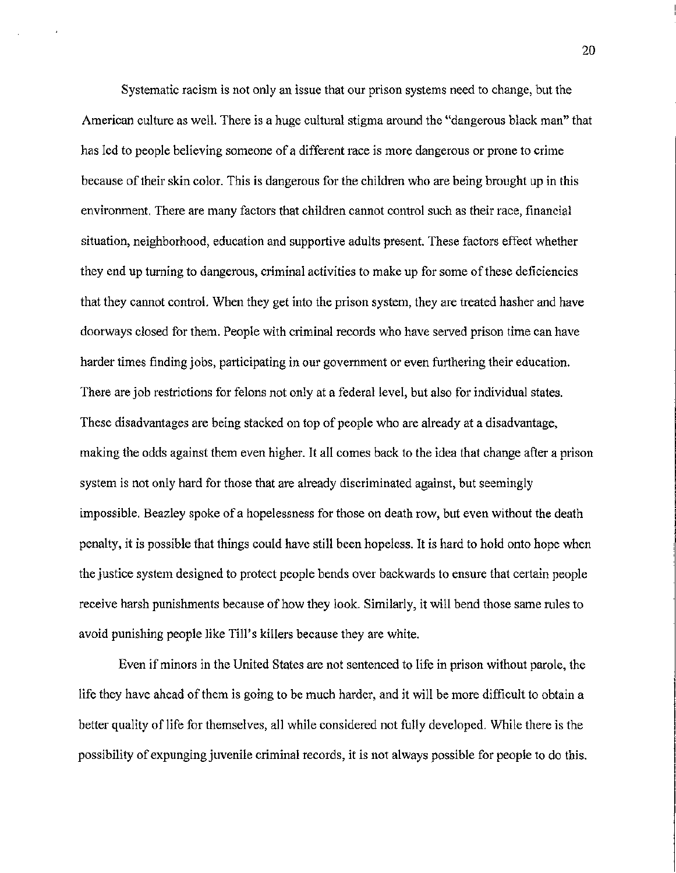Systematic racism is not only an issue that our prison systems need to change, but the American culture as well. There is a huge cultural stigma around the "dangerous black man" that has led to people believing someone of a different race is more dangerous or prone to crime because of their skin color. This is dangerous for the children who are being brought up in this environment. There are many factors that children cannot control such as their race, financial situation, neighborhood, education and supportive adults present. These factors effect whether they end up turning to dangerous, criminal activities to make up for some of these deficiencies that they cannot control. When they get into the prison system, they are treated hasher and have doorways closed for them. People with criminal records who have served prison time can have harder times finding jobs, participating in our government or even furthering their education. There are job restrictions for felons not only at a federal level, but also for individual states. These disadvantages are being stacked on top of people who are already at a disadvantage, making the odds against them even higher. It all comes back to the idea that change after a prison system is not only hard for those that are already discriminated against, but seemingly impossible. Beazley spoke of a hopelessness for those on death row, but even without the death penalty, it is possible that things could have still been hopeless. It is hard to hold onto hope when the justice system designed to protect people bends over backwards to ensure that certain people receive harsh punishments because of how they look. Similarly, it will bend those same rules to avoid punishing people like Till's killers because they are white.

Even if minors in the United States are not sentenced to life in prison without parole, the life they have ahead of them is going to be much harder, and it will be more difficult to obtain a better quality of life for themselves, all while considered not fully developed. While there is the possibility of expunging juvenile criminal records, it is not always possible for people to do this.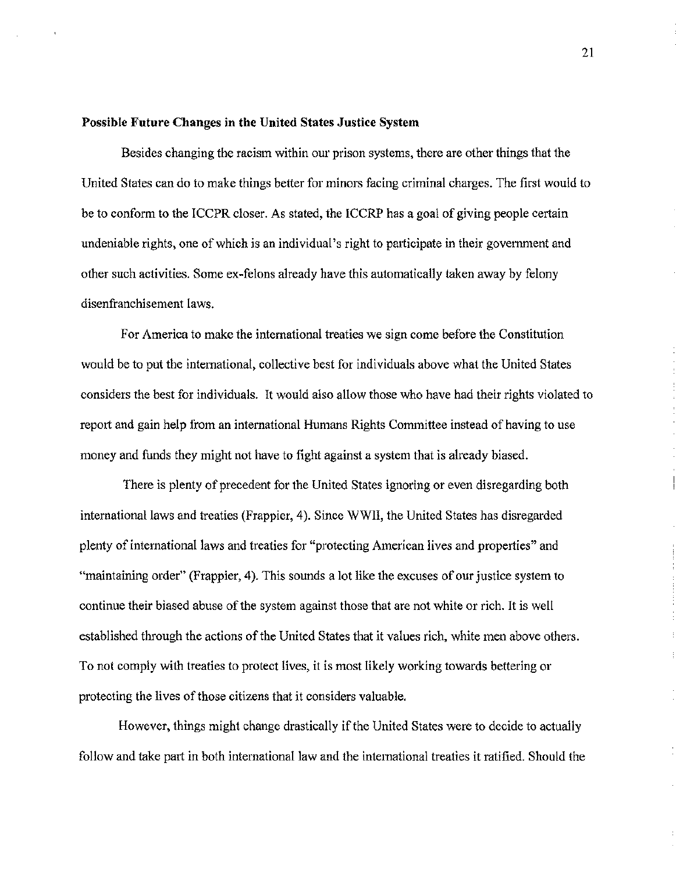### Possible Future Changes in the United States Justice System

Besides changing the racism within our prison systems, there are other things that the United States can do to make things better for minors facing criminal charges. The first would to be to conform to the ICCPR closer. As stated, the ICCRP has a goal of giving people certain undeniable rights, one of which is an individual's right to participate in their government and other such activities. Some ex-felons already have this automatically taken away by felony disenfranchisement laws.

For America to make the international treaties we sign come before the Constitution would be to put the international, collective best for individuals above what the United States considers the best for individuals. It would also allow those who have had their rights violated to report and gain help from an international Humans Rights Committee instead of having to use money and funds they might not have to fight against a system that is already biased.

There is plenty of precedent for the United States ignoring or even disregarding both international laws and treaties (Frappier, 4). Since WWII, the United States has disregarded plenty of international laws and treaties for "protecting American lives and properties" and "maintaining order" (Frappier, 4). This sounds a lot like the excuses of our justice system to continue their biased abuse of the system against those that are not white or rich. It is well established through the actions of the United States that it values rich, white men above others. To not comply with treaties to protect lives, it is most likely working towards bettering or protecting the lives of those citizens that it considers valuable.

However, things might change drastically if the United States were to decide to actually follow and take part in both international law and the international treaties it ratified. Should the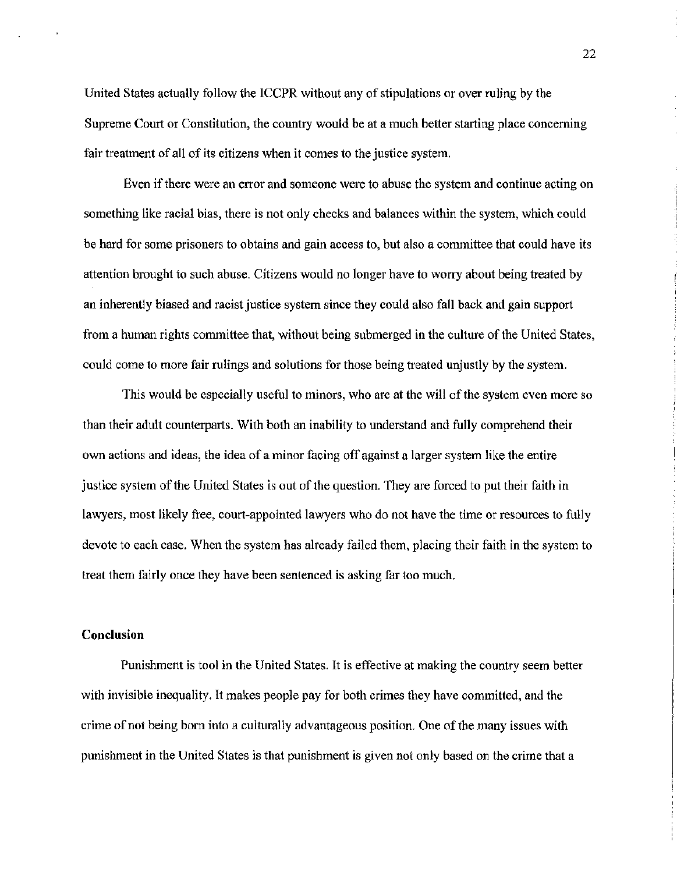United States actually follow the ICCPR without any of stipulations or over ruling by the Supreme Court or Constitution, the country would be at a much better starting place concerning fair treatment of all of its citizens when it comes to the justice system.

Even if there were an error and someone were to abuse the system and continue acting on something like racial bias, there is not only checks and balances within the system, which could be hard for some prisoners to obtains and gain access to, but also a committee that could have its attention brought to such abuse. Citizens would no longer have to worry about being treated by an inherently biased and racist justice system since they could also fall back and gain support from a human rights committee that, without being submerged in the culture of the United States, could come to more fair rulings and solutions for those being treated unjustly by the system.

This would be especially useful to minors, who are at the will of the system even more so than their adult counterparts. With both an inability to understand and fully comprehend their own actions and ideas, the idea of a minor facing off against a larger system like the entire justice system of the United States is out of the question. They are forced to put their faith in lawyers, most likely free, court-appointed lawyers who do not have the time or resources to fully devote to each case. When the system has already failed them, placing their faith in the system to treat them fairly once they have been sentenced is asking far too much.

## **Conclusion**

Punishment is tool in the United States. It is effective at making the country seem better with invisible inequality. It makes people pay for both crimes they have committed, and the crime of not being born into a culturally advantageous position. One of the many issues with punishment in the United States is that punishment is given not only based on the crime that a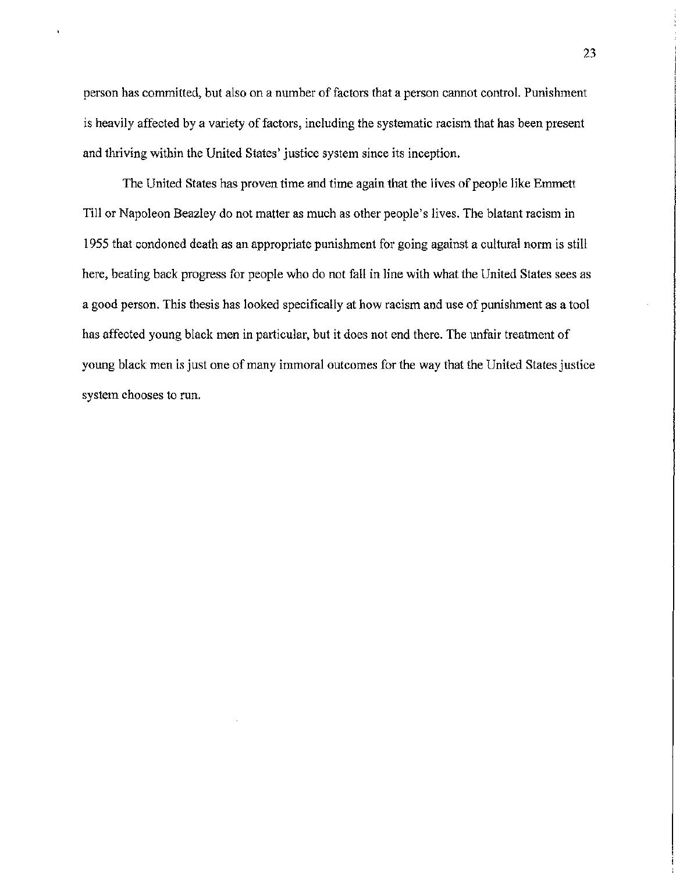person has committed, but also on a number of factors that a person cannot control. Punishment is heavily affected by a variety of factors, including the systematic racism that has been present and thriving within the United States' justice system since its inception.

The United States has proven time and time again that the lives of people like Emmett Till or Napoleon Beazley do not matter as much as other people's lives. The blatant racism in 1955 that condoned death as an appropriate punishment for going against a cultural norm is still here, beating back progress for people who do not fall in line with what the United States sees as a good person. This thesis has looked specifically at how racism and use of punishment as a tool has affected young black men in particular, but it does not end there. The unfair treatment of young black men is just one of many immoral outcomes for the way that the United States justice system chooses to run.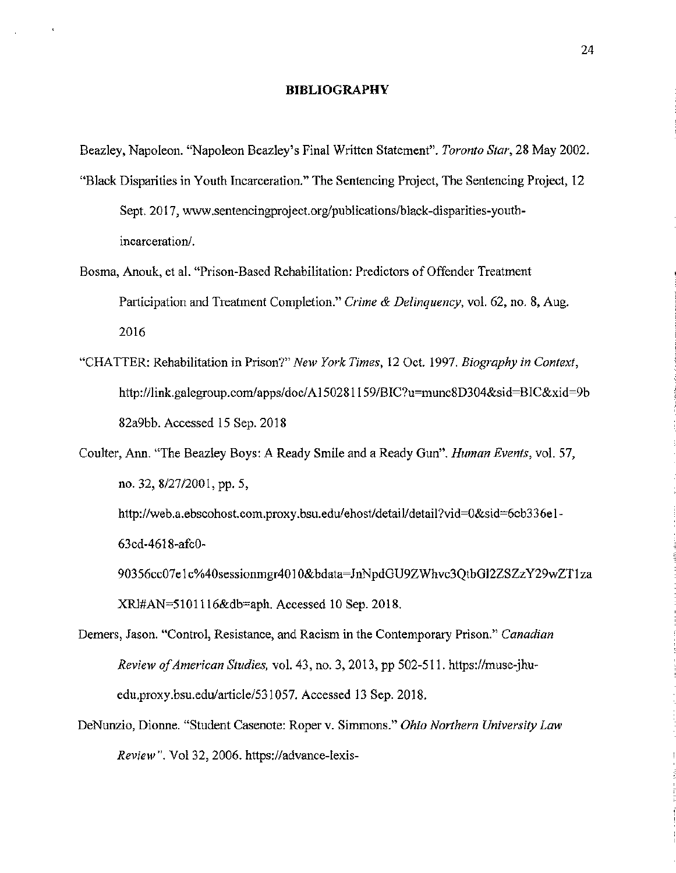#### BIBLIOGRAPHY

Beazley, Napoleon. "Napoleon Beazley's Final Written Statement". *Toronto Star,* 28 May 2002.

- "Black Disparities in Youth Incarceration." The Sentencing Project, The Sentencing Project, 12 Sept. 2017, www.sentencingproject.org/publications/black-disparities-youthincarceration/.
- Bosma, Anouk, et al. "Prison-Based Rehabilitation: Predictors of Offender Treatment Participation and Treatment Completion." *Crime* & *Delinquency,* vol. 62, no. 8, Aug. 2016
- "CHATTER: Rehabilitation in Prison?" *New York Times,* 12 Oct. 1997. *Biography in Context,*  http://link.galegroup.com/apps/doc/A150281159/BIC?u=munc8D304&sid=BIC&xid=9b 82a9bb. Accessed 15 Sep. 2018
- Coulter, Ann. "The Beazley Boys: A Ready Smile and a Ready Gun". *Human Events,* vol. 57, no. 32, 8/27/2001, pp. 5, http://web.a.ebscohost.com.proxy.bsu.edu/ehost/detail/detail?vid=0&sid=6cb336e1-63cd-4618-afc0- 90356cc07elc%40sessionmgr4010&bdata=JnNpdGU9ZWhvc3QtbG12ZSZzY29wZT1za XRl#AN=5101116&db=aph. Accessed 10 Sep. 2018.
- Demers, Jason. "Control, Resistance, and Racism in the Contemporary Prison." *Canadian Review of American Studies,* vol. 43, no. 3, 2013, pp 502-511. https://muse-jhuedu.proxy.bsu.edu/article/531057. Accessed 13 Sep. 2018.
- DeNunzio, Dionne. "Student Casenote: Roper v. Simmons." *Ohio Northern University Law Review".* Vol32, 2006. https://advance-lexis-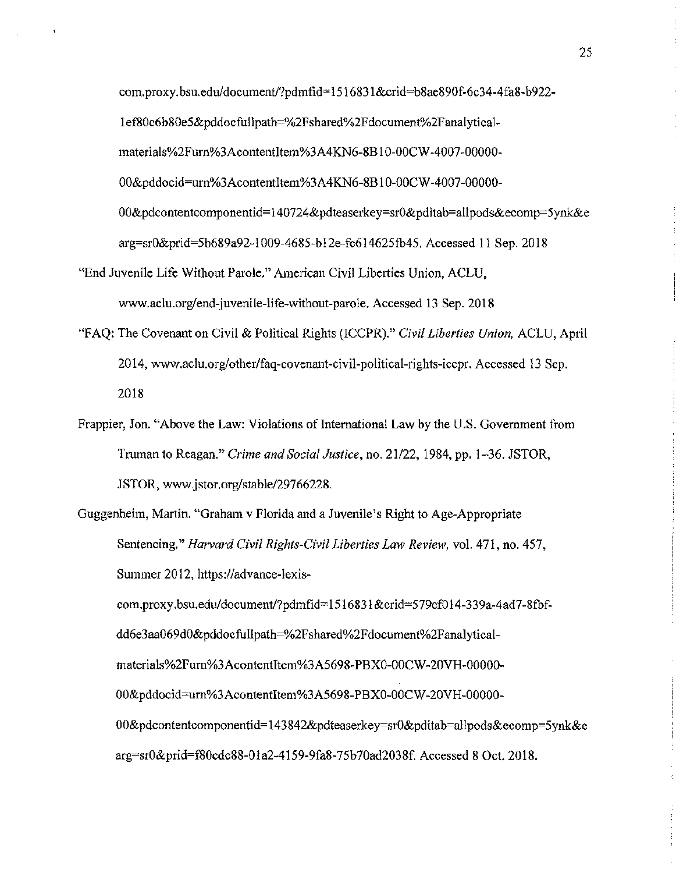com. proxy. bsu.edu/document/?pdmfid= 1516831 &crid=b8ae890f-6c34-4 fa8-b922- 1 ef80c6b80e5&pddocfullpath=%2Fshared%2Fdocument%2Fanalyticalmaterials%2Furn%3AcontentItem%3A4KN6-8B10-00CW-4007-00000-00&pddocid=urn%3AcontentItem%3A4KN6-8B10-00CW-4007-00000-OO&pdcontentcomponentid=140724&pdteaserkey=srO&pditab=allpods&ecomp=5ynk&e arg=srO&prid=5b689a92-1009-4685-b12e-fc614625fb45. Accessed 11 Sep. 2018

- "End Juvenile Life Without Parole." American Civil Liberties Union, ACLU, www.aclu.org/end-juvenile-life-without-parole. Accessed 13 Sep. 2018
- "F AQ: The Covenant on Civil & Political Rights (ICCPR)." *Civil Liberties Union,* ACLU, April 2014, www.aclu.org/other/faq-covenant-civil-political-rights-iccpr. Accessed 13 Sep. 2018
- Frappier, Jon. "Above the Law: Violations of International Law by the U.S. Government from Truman to Reagan." *Crime and Social Justice,* no. 21/22, 1984, pp. 1-36. JSTOR, JSTOR, www.jstor.org/stable/29766228.
- Guggenheim, Martin. "Graham v Florida and a Juvenile's Right to Age-Appropriate Sentencing." *Harvard Civil Rights-Civil Liberties Law Review,* vol. 471, no. 457, Summer 2012, https://advance-lexiscom.proxy.bsu.edu/document/?pdmfid=1516831&crid=579cf014-339a-4ad7-8fbfdd6e3aa069dO&pddocfullpath=%2Fshared%2Fdocument%2Fanalyticalmaterials%2Furn%3Acontentltem%3A5698-PBXO-OOCW-20VH-OOOOO-OO&pddocid=urn%3Acontentltem%3A5698-PBXO-OOCW -20VH -OOOOO-

OO&pdcontentcomponentid=143842&pdteaserkey=srO&pditab=allpods&ecomp=5ynk&e arg=sr0&prid=f80cdc88-01a2-4159-9fa8-75b70ad2038f. Accessed 8 Oct. 2018.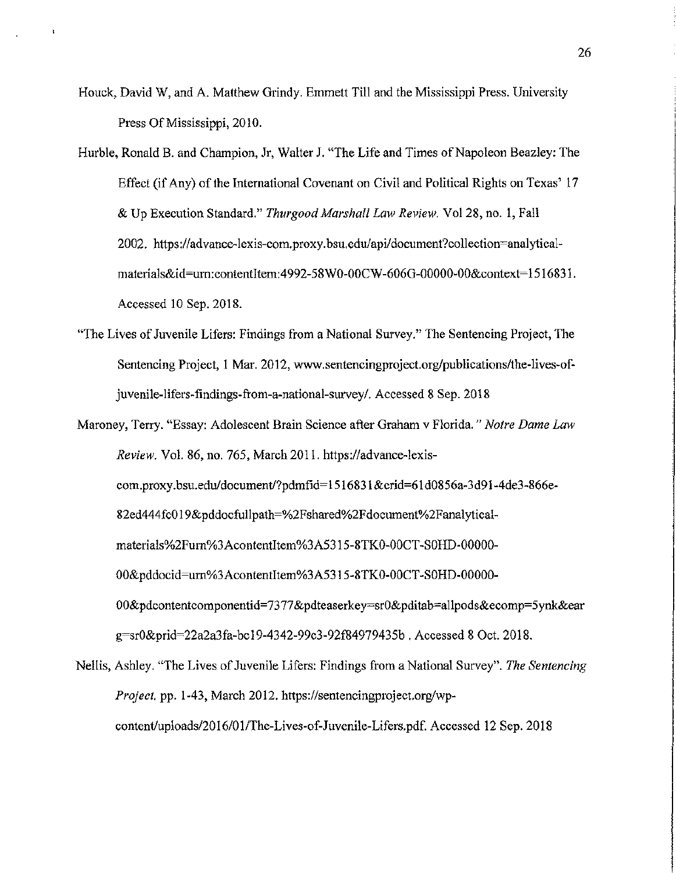Houck, David W, and A. Matthew Grindy. Emmett Till and the Mississippi Press. University Press Of Mississippi, 2010.

Hurble, Ronald B. and Champion, Jr, Walter J. "The Life and Times of Napoleon Beazley: The Effect (if Any) of the International Covenant on Civil and Political Rights on Texas' 17 & Up Execution Standard." *Thurgood Marshall Law Review.* Vol28, no. 1, Fall 2002. https :/ /advance-lexis-com. proxy. bsu.edu/api/ document?collection=analyticalmaterials&id=urn:contentItem:4992-58W0-00CW-606G-00000-00&context=1516831. Accessed 10 Sep. 2018.

- "The Lives of Juvenile Lifers: Findings from a National Swvey." The Sentencing Project, The Sentencing Project, 1 Mar. 2012, www.sentencingproject.org/publications/the-lives-ofjuvenile-lifers-findings-from-a-national-survey/. Accessed 8 Sep. 2018
- Maroney, Terry. "Essay: Adolescent Brain Science after Graham v Florida." *Notre Dame Law Review.* Vol. 86, no. 765, March 2011. https://advance-lexiscom. proxy. bsu.edu/document!?pdmfid= 1516831 &crid=61 d0856a-3d91-4de3-866e-82ed444 fcO 19&pddocfullpath=%2Fshared%2F document%2F analyticalmaterials%2Fum%3Acontentltem%3A5315-8TKO-OOCT -SOHD-OOOOO-OO&pddocid=um%3Acontentltem%3A5315-8TKO-OOCT -SOHD-OOOOO-OO&pdcontentcomponentid=7377&pdteaserkey=srO&pditab=allpods&ecomp=5ynk&ear g=sr0&prid=22a2a3fa-bc 19-4342-99c3-92f84979435b . Accessed 8 Oct. 2018.
- Nellis, Ashley. "The Lives of Juvenile Lifers: Findings from a National Survey". *The Sentencing Project.* pp. 1-43, March 2012. https://sentencingproject.org/wpcontent/uploads/2016/01/The-Lives-of-Juvenile-Lifers.pdf. Accessed 12 Sep. 2018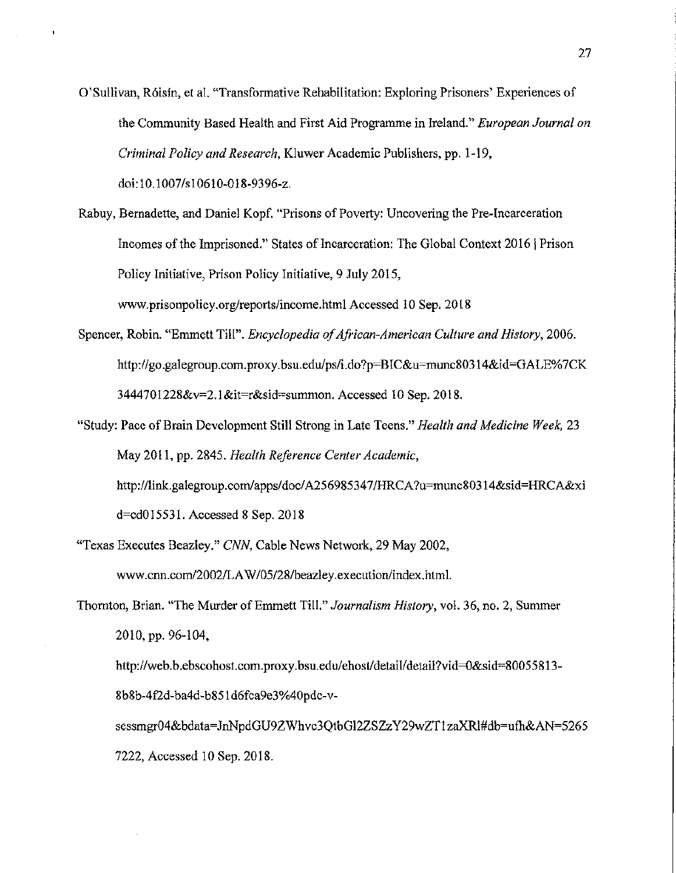- O'Sullivan, R6isin, et al. "Transformative Rehabilitation: Exploring Prisoners' Experiences of the Community Based Health and First Aid Programme in Ireland." *European Journal on Criminal Policy and Research,* Kluwer Academic Publishers, pp. 1-19, doi: 10.1007 /s1 061 0-018-9396-z.
- Rabuy, Bernadette, and Daniel Kopf. "Prisons of Poverty: Uncovering the Pre-Incarceration Incomes of the Imprisoned." States of Incarceration: The Global Context 2016 | Prison Policy Initiative, Prison Policy Initiative, 9 July 2015, www.prisonpolicy.org/reports/income.html Accessed 10 Sep. 2018
- Spencer, Robin. "Emmett Till". *Encyclopedia of African-American Culture and History,* 2006. http://go.galegroup.com.proxy.bsu.edu/ps/i.do?p=BIC&u=munc80314&id=GALE% 7CK 3444701228&v=2.1&it=r&sid=summon. Accessed 10 Sep. 2018.
- "Study: Pace of Brain Development Still Strong in Late Teens." *Health and Medicine Week,* 23 May 2011, pp. 2845. *Health Reference Center Academic,*  http:/ /link.galegroup.com/apps/doc/ A25698534 7 /HRCA ?u=munc80314&sid=HRCA&xi d=cd015531. Accessed 8 Sep. 2018
- "Texas Executes Beazley." CNN, Cable News Network, 29 May 2002, www.cnn.com/2002/LA W/05/28/beazley.execution/index.html.
- Thornton, Brian. "The Murder of Emmett Till." *Journalism History,* vol. 36, no. 2, Summer 2010, pp. 96-104,

http:/ /web. b.ebscohost.com. proxy. bsu.edu/ ehost/detail/ detail?vid=O&sid=8005 5 813- 8b8b-4 f2d-ba4d-b851 d6fca9e3%40pdc-v-

sessmgr04&bdata=JnNpdGU9ZWhvc3QtbG12ZSZzY29wZT1 zaXRl#db=ufh&AN=5265 7222, Accessed 10 Sep. 2018.